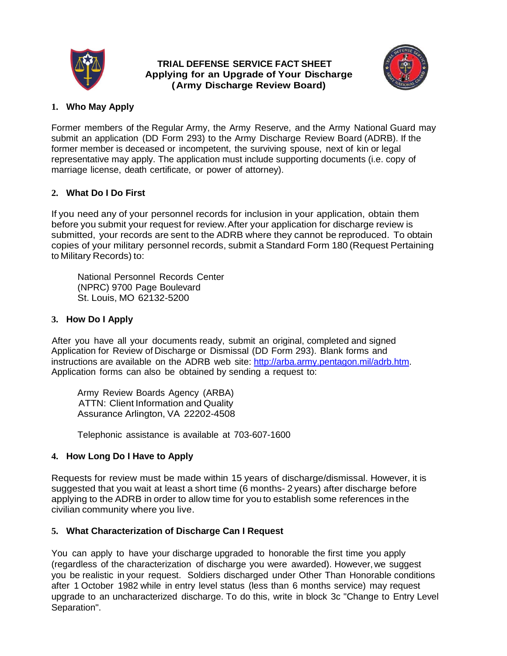

#### **TRIAL DEFENSE SERVICE FACT SHEET Applying for an Upgrade of Your Discharge (Army Discharge Review Board)**



## **1. Who May Apply**

Former members of the Regular Army, the Army Reserve, and the Army National Guard may submit an application (DD Form 293) to the Army Discharge Review Board (ADRB). If the former member is deceased or incompetent, the surviving spouse, next of kin or legal representative may apply. The application must include supporting documents (i.e. copy of marriage license, death certificate, or power of attorney).

# **2. What Do I Do First**

If you need any of your personnel records for inclusion in your application, obtain them before you submit your request for review.After your application for discharge review is submitted, your records are sent to the ADRB where they cannot be reproduced. To obtain copies of your military personnel records, submit a Standard Form 180 (Request Pertaining to Military Records) to:

National Personnel Records Center (NPRC) 9700 Page Boulevard St. Louis, MO 62132-5200

# **3. How Do I Apply**

After you have all your documents ready, submit an original, completed and signed Application for Review of Discharge or Dismissal (DD Form 293). Blank forms and instructions are available on the ADRB web site: [http://arba.army.pentagon.mil/adrb.htm.](http://arba.army.pentagon.mil/adrb.htm) Application forms can also be obtained by sending a request to:

Army Review Boards Agency (ARBA) ATTN: Client Information and Quality Assurance Arlington, VA 22202-4508

Telephonic assistance is available at 703-607-1600

### **4. How Long Do I Have to Apply**

Requests for review must be made within 15 years of discharge/dismissal. However, it is suggested that you wait at least a short time (6 months- 2 years) after discharge before applying to the ADRB in order to allow time for you to establish some references in the civilian community where you live.

### **5. What Characterization of Discharge Can I Request**

You can apply to have your discharge upgraded to honorable the first time you apply (regardless of the characterization of discharge you were awarded). However, we suggest you be realistic in your request. Soldiers discharged under Other Than Honorable conditions after 1 October 1982 while in entry level status (less than 6 months service) may request upgrade to an uncharacterized discharge. To do this, write in block 3c "Change to Entry Level Separation".